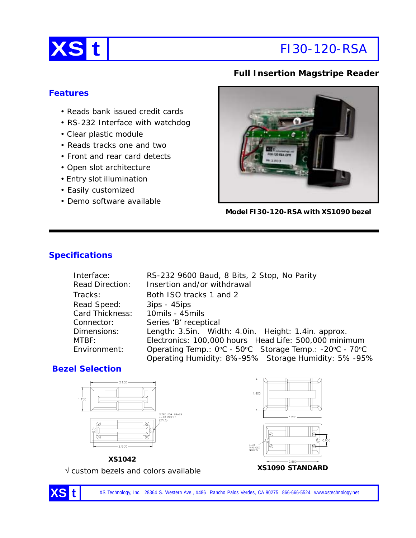

# **XS t** FI30-120-RSA

# **Full Insertion Magstripe Reader**

### **Features**

- Reads bank issued credit cards
- RS-232 Interface with watchdog
- Clear plastic module
- Reads tracks one and two
- Front and rear card detects
- Open slot architecture
- Entry slot illumination
- Easily customized
- Demo software available



**Model FI30-120-RSA with XS1090 bezel**

# **Specifications**

| Interface:      | RS-232 9600 Baud, 8 Bits, 2 Stop, No Parity             |
|-----------------|---------------------------------------------------------|
| Read Direction: | Insertion and/or withdrawal                             |
| Tracks:         | Both ISO tracks 1 and 2                                 |
| Read Speed:     | $3ips - 45ips$                                          |
| Card Thickness: | 10mils - 45mils                                         |
| Connector:      | Series 'B' receptical                                   |
| Dimensions:     | Length: 3.5in. Width: 4.0in. Height: 1.4in. approx.     |
| MTBF:           | Electronics: 100,000 hours Head Life: 500,000 minimum   |
| Environment:    | Operating Temp.: 0°C - 50°C Storage Temp.: -20°C - 70°C |
|                 | Operating Humidity: 8%-95% Storage Humidity: 5%-95%     |

## **Bezel Selection**





**XS1090 STANDARD** √ custom bezels and colors available

XS Technology, Inc. 28364 S. Western Ave., #486 Rancho Palos Verdes, CA 90275 866-666-5524 www.xstechnology.net